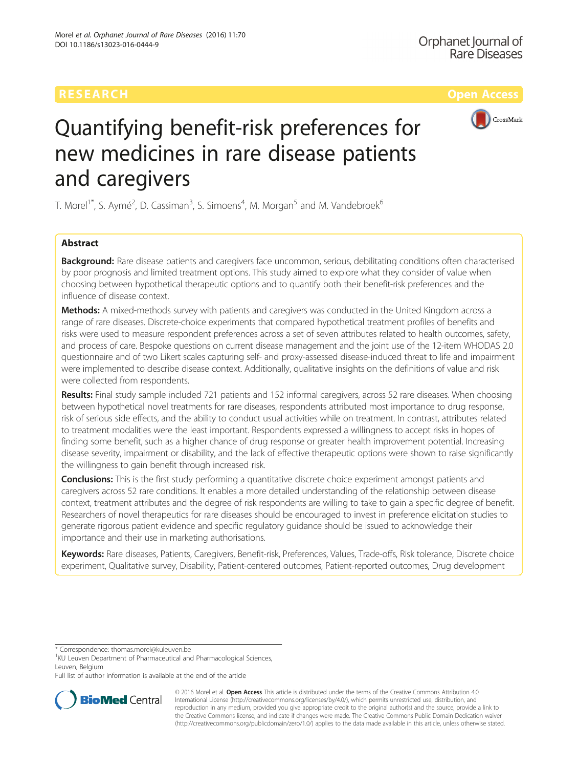# **RESEARCH CHILD CONTROL** CONTROL CONTROL CONTROL CONTROL CONTROL CONTROL CONTROL CONTROL CONTROL CONTROL CONTROL CONTROL CONTROL CONTROL CONTROL CONTROL CONTROL CONTROL CONTROL CONTROL CONTROL CONTROL CONTROL CONTROL CONTR



# Quantifying benefit-risk preferences for new medicines in rare disease patients and caregivers

T. Morel<sup>1\*</sup>, S. Aymé<sup>2</sup>, D. Cassiman<sup>3</sup>, S. Simoens<sup>4</sup>, M. Morgan<sup>5</sup> and M. Vandebroek<sup>6</sup>

# Abstract

Background: Rare disease patients and caregivers face uncommon, serious, debilitating conditions often characterised by poor prognosis and limited treatment options. This study aimed to explore what they consider of value when choosing between hypothetical therapeutic options and to quantify both their benefit-risk preferences and the influence of disease context.

Methods: A mixed-methods survey with patients and caregivers was conducted in the United Kingdom across a range of rare diseases. Discrete-choice experiments that compared hypothetical treatment profiles of benefits and risks were used to measure respondent preferences across a set of seven attributes related to health outcomes, safety, and process of care. Bespoke questions on current disease management and the joint use of the 12-item WHODAS 2.0 questionnaire and of two Likert scales capturing self- and proxy-assessed disease-induced threat to life and impairment were implemented to describe disease context. Additionally, qualitative insights on the definitions of value and risk were collected from respondents.

Results: Final study sample included 721 patients and 152 informal caregivers, across 52 rare diseases. When choosing between hypothetical novel treatments for rare diseases, respondents attributed most importance to drug response, risk of serious side effects, and the ability to conduct usual activities while on treatment. In contrast, attributes related to treatment modalities were the least important. Respondents expressed a willingness to accept risks in hopes of finding some benefit, such as a higher chance of drug response or greater health improvement potential. Increasing disease severity, impairment or disability, and the lack of effective therapeutic options were shown to raise significantly the willingness to gain benefit through increased risk.

**Conclusions:** This is the first study performing a quantitative discrete choice experiment amongst patients and caregivers across 52 rare conditions. It enables a more detailed understanding of the relationship between disease context, treatment attributes and the degree of risk respondents are willing to take to gain a specific degree of benefit. Researchers of novel therapeutics for rare diseases should be encouraged to invest in preference elicitation studies to generate rigorous patient evidence and specific regulatory guidance should be issued to acknowledge their importance and their use in marketing authorisations.

Keywords: Rare diseases, Patients, Caregivers, Benefit-risk, Preferences, Values, Trade-offs, Risk tolerance, Discrete choice experiment, Qualitative survey, Disability, Patient-centered outcomes, Patient-reported outcomes, Drug development

\* Correspondence: [thomas.morel@kuleuven.be](mailto:thomas.morel@kuleuven.be) <sup>1</sup>

<sup>1</sup>KU Leuven Department of Pharmaceutical and Pharmacological Sciences, Leuven, Belgium

Full list of author information is available at the end of the article



© 2016 Morel et al. Open Access This article is distributed under the terms of the Creative Commons Attribution 4.0 International License [\(http://creativecommons.org/licenses/by/4.0/](http://creativecommons.org/licenses/by/4.0/)), which permits unrestricted use, distribution, and reproduction in any medium, provided you give appropriate credit to the original author(s) and the source, provide a link to the Creative Commons license, and indicate if changes were made. The Creative Commons Public Domain Dedication waiver [\(http://creativecommons.org/publicdomain/zero/1.0/](http://creativecommons.org/publicdomain/zero/1.0/)) applies to the data made available in this article, unless otherwise stated.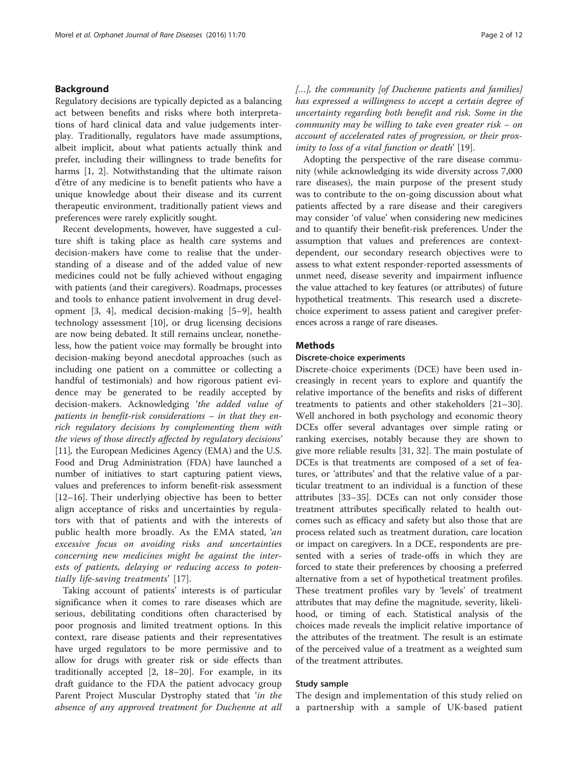## Background

Regulatory decisions are typically depicted as a balancing act between benefits and risks where both interpretations of hard clinical data and value judgements interplay. Traditionally, regulators have made assumptions, albeit implicit, about what patients actually think and prefer, including their willingness to trade benefits for harms [[1,](#page-9-0) [2](#page-10-0)]. Notwithstanding that the ultimate raison d'être of any medicine is to benefit patients who have a unique knowledge about their disease and its current therapeutic environment, traditionally patient views and preferences were rarely explicitly sought.

Recent developments, however, have suggested a culture shift is taking place as health care systems and decision-makers have come to realise that the understanding of a disease and of the added value of new medicines could not be fully achieved without engaging with patients (and their caregivers). Roadmaps, processes and tools to enhance patient involvement in drug development [[3, 4\]](#page-10-0), medical decision-making [[5](#page-10-0)–[9](#page-10-0)], health technology assessment [\[10\]](#page-10-0), or drug licensing decisions are now being debated. It still remains unclear, nonetheless, how the patient voice may formally be brought into decision-making beyond anecdotal approaches (such as including one patient on a committee or collecting a handful of testimonials) and how rigorous patient evidence may be generated to be readily accepted by decision-makers. Acknowledging 'the added value of patients in benefit-risk considerations – in that they enrich regulatory decisions by complementing them with the views of those directly affected by regulatory decisions' [[11\]](#page-10-0), the European Medicines Agency (EMA) and the U.S. Food and Drug Administration (FDA) have launched a number of initiatives to start capturing patient views, values and preferences to inform benefit-risk assessment [[12](#page-10-0)–[16\]](#page-10-0). Their underlying objective has been to better align acceptance of risks and uncertainties by regulators with that of patients and with the interests of public health more broadly. As the EMA stated, 'an excessive focus on avoiding risks and uncertainties concerning new medicines might be against the interests of patients, delaying or reducing access to potentially life-saving treatments' [[17\]](#page-10-0).

Taking account of patients' interests is of particular significance when it comes to rare diseases which are serious, debilitating conditions often characterised by poor prognosis and limited treatment options. In this context, rare disease patients and their representatives have urged regulators to be more permissive and to allow for drugs with greater risk or side effects than traditionally accepted [\[2](#page-10-0), [18](#page-10-0)–[20\]](#page-10-0). For example, in its draft guidance to the FDA the patient advocacy group Parent Project Muscular Dystrophy stated that 'in the absence of any approved treatment for Duchenne at all [...], the community [of Duchenne patients and families] has expressed a willingness to accept a certain degree of uncertainty regarding both benefit and risk. Some in the community may be willing to take even greater risk – on account of accelerated rates of progression, or their prox-imity to loss of a vital function or death' [\[19](#page-10-0)].

Adopting the perspective of the rare disease community (while acknowledging its wide diversity across 7,000 rare diseases), the main purpose of the present study was to contribute to the on-going discussion about what patients affected by a rare disease and their caregivers may consider 'of value' when considering new medicines and to quantify their benefit-risk preferences. Under the assumption that values and preferences are contextdependent, our secondary research objectives were to assess to what extent responder-reported assessments of unmet need, disease severity and impairment influence the value attached to key features (or attributes) of future hypothetical treatments. This research used a discretechoice experiment to assess patient and caregiver preferences across a range of rare diseases.

## Methods

#### Discrete-choice experiments

Discrete-choice experiments (DCE) have been used increasingly in recent years to explore and quantify the relative importance of the benefits and risks of different treatments to patients and other stakeholders [[21](#page-10-0)–[30](#page-10-0)]. Well anchored in both psychology and economic theory DCEs offer several advantages over simple rating or ranking exercises, notably because they are shown to give more reliable results [\[31](#page-10-0), [32](#page-10-0)]. The main postulate of DCEs is that treatments are composed of a set of features, or 'attributes' and that the relative value of a particular treatment to an individual is a function of these attributes [[33](#page-10-0)–[35](#page-10-0)]. DCEs can not only consider those treatment attributes specifically related to health outcomes such as efficacy and safety but also those that are process related such as treatment duration, care location or impact on caregivers. In a DCE, respondents are presented with a series of trade-offs in which they are forced to state their preferences by choosing a preferred alternative from a set of hypothetical treatment profiles. These treatment profiles vary by 'levels' of treatment attributes that may define the magnitude, severity, likelihood, or timing of each. Statistical analysis of the choices made reveals the implicit relative importance of the attributes of the treatment. The result is an estimate of the perceived value of a treatment as a weighted sum of the treatment attributes.

## Study sample

The design and implementation of this study relied on a partnership with a sample of UK-based patient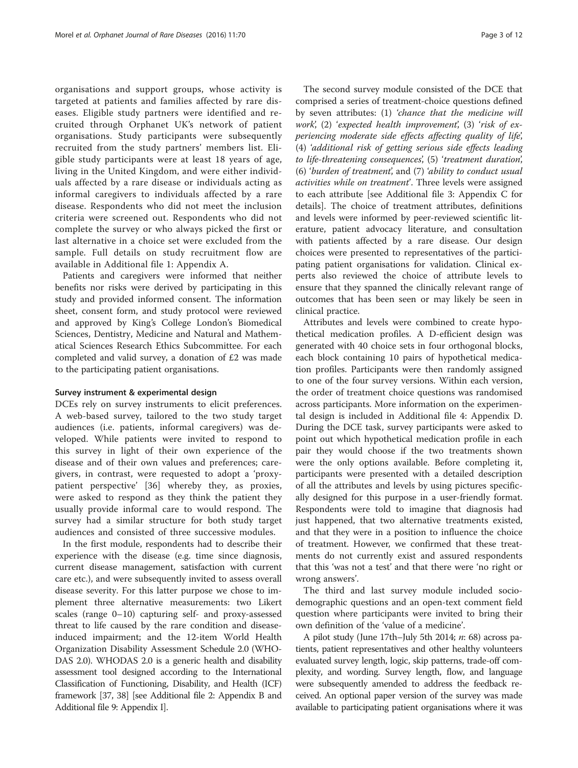organisations and support groups, whose activity is targeted at patients and families affected by rare diseases. Eligible study partners were identified and recruited through Orphanet UK's network of patient organisations. Study participants were subsequently recruited from the study partners' members list. Eligible study participants were at least 18 years of age, living in the United Kingdom, and were either individuals affected by a rare disease or individuals acting as informal caregivers to individuals affected by a rare disease. Respondents who did not meet the inclusion criteria were screened out. Respondents who did not complete the survey or who always picked the first or last alternative in a choice set were excluded from the sample. Full details on study recruitment flow are available in Additional file [1:](#page-9-0) Appendix A.

Patients and caregivers were informed that neither benefits nor risks were derived by participating in this study and provided informed consent. The information sheet, consent form, and study protocol were reviewed and approved by King's College London's Biomedical Sciences, Dentistry, Medicine and Natural and Mathematical Sciences Research Ethics Subcommittee. For each completed and valid survey, a donation of £2 was made to the participating patient organisations.

#### Survey instrument & experimental design

DCEs rely on survey instruments to elicit preferences. A web-based survey, tailored to the two study target audiences (i.e. patients, informal caregivers) was developed. While patients were invited to respond to this survey in light of their own experience of the disease and of their own values and preferences; caregivers, in contrast, were requested to adopt a 'proxypatient perspective' [\[36](#page-10-0)] whereby they, as proxies, were asked to respond as they think the patient they usually provide informal care to would respond. The survey had a similar structure for both study target audiences and consisted of three successive modules.

In the first module, respondents had to describe their experience with the disease (e.g. time since diagnosis, current disease management, satisfaction with current care etc.), and were subsequently invited to assess overall disease severity. For this latter purpose we chose to implement three alternative measurements: two Likert scales (range 0–10) capturing self- and proxy-assessed threat to life caused by the rare condition and diseaseinduced impairment; and the 12-item World Health Organization Disability Assessment Schedule 2.0 (WHO-DAS 2.0). WHODAS 2.0 is a generic health and disability assessment tool designed according to the International Classification of Functioning, Disability, and Health (ICF) framework [[37, 38\]](#page-10-0) [see Additional file [2](#page-9-0): Appendix B and Additional file [9:](#page-9-0) Appendix I].

The second survey module consisted of the DCE that comprised a series of treatment-choice questions defined by seven attributes: (1) 'chance that the medicine will work', (2) 'expected health improvement', (3) 'risk of experiencing moderate side effects affecting quality of life', (4) 'additional risk of getting serious side effects leading to life-threatening consequences', (5) 'treatment duration', (6) 'burden of treatment', and (7) 'ability to conduct usual activities while on treatment'. Three levels were assigned to each attribute [see Additional file [3](#page-9-0): Appendix C for details]. The choice of treatment attributes, definitions and levels were informed by peer-reviewed scientific literature, patient advocacy literature, and consultation with patients affected by a rare disease. Our design choices were presented to representatives of the participating patient organisations for validation. Clinical experts also reviewed the choice of attribute levels to ensure that they spanned the clinically relevant range of outcomes that has been seen or may likely be seen in clinical practice.

Attributes and levels were combined to create hypothetical medication profiles. A D-efficient design was generated with 40 choice sets in four orthogonal blocks, each block containing 10 pairs of hypothetical medication profiles. Participants were then randomly assigned to one of the four survey versions. Within each version, the order of treatment choice questions was randomised across participants. More information on the experimental design is included in Additional file [4](#page-9-0): Appendix D. During the DCE task, survey participants were asked to point out which hypothetical medication profile in each pair they would choose if the two treatments shown were the only options available. Before completing it, participants were presented with a detailed description of all the attributes and levels by using pictures specifically designed for this purpose in a user-friendly format. Respondents were told to imagine that diagnosis had just happened, that two alternative treatments existed, and that they were in a position to influence the choice of treatment. However, we confirmed that these treatments do not currently exist and assured respondents that this 'was not a test' and that there were 'no right or wrong answers'.

The third and last survey module included sociodemographic questions and an open-text comment field question where participants were invited to bring their own definition of the 'value of a medicine'.

A pilot study (June 17th–July 5th 2014; n: 68) across patients, patient representatives and other healthy volunteers evaluated survey length, logic, skip patterns, trade-off complexity, and wording. Survey length, flow, and language were subsequently amended to address the feedback received. An optional paper version of the survey was made available to participating patient organisations where it was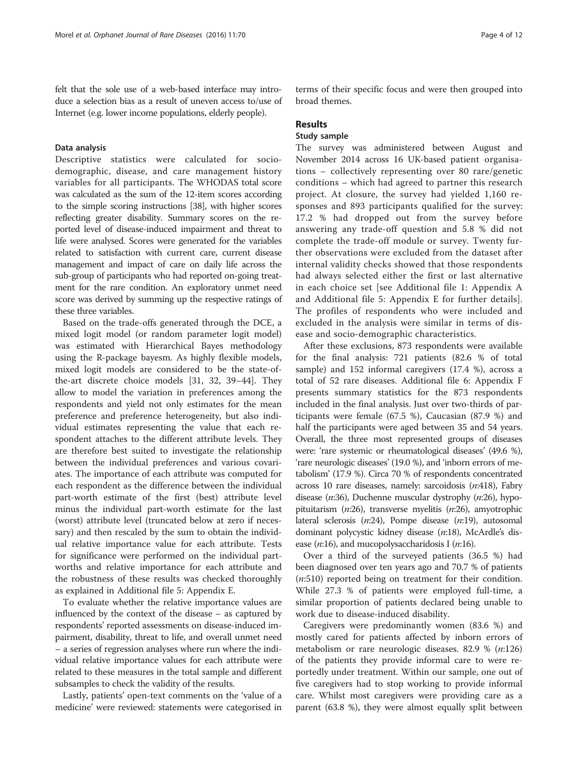felt that the sole use of a web-based interface may introduce a selection bias as a result of uneven access to/use of Internet (e.g. lower income populations, elderly people).

#### Data analysis

Descriptive statistics were calculated for sociodemographic, disease, and care management history variables for all participants. The WHODAS total score was calculated as the sum of the 12-item scores according to the simple scoring instructions [[38](#page-10-0)], with higher scores reflecting greater disability. Summary scores on the reported level of disease-induced impairment and threat to life were analysed. Scores were generated for the variables related to satisfaction with current care, current disease management and impact of care on daily life across the sub-group of participants who had reported on-going treatment for the rare condition. An exploratory unmet need score was derived by summing up the respective ratings of these three variables.

Based on the trade-offs generated through the DCE, a mixed logit model (or random parameter logit model) was estimated with Hierarchical Bayes methodology using the R-package bayesm. As highly flexible models, mixed logit models are considered to be the state-ofthe-art discrete choice models [[31, 32](#page-10-0), [39](#page-10-0)–[44\]](#page-10-0). They allow to model the variation in preferences among the respondents and yield not only estimates for the mean preference and preference heterogeneity, but also individual estimates representing the value that each respondent attaches to the different attribute levels. They are therefore best suited to investigate the relationship between the individual preferences and various covariates. The importance of each attribute was computed for each respondent as the difference between the individual part-worth estimate of the first (best) attribute level minus the individual part-worth estimate for the last (worst) attribute level (truncated below at zero if necessary) and then rescaled by the sum to obtain the individual relative importance value for each attribute. Tests for significance were performed on the individual partworths and relative importance for each attribute and the robustness of these results was checked thoroughly as explained in Additional file [5](#page-9-0): Appendix E.

To evaluate whether the relative importance values are influenced by the context of the disease – as captured by respondents' reported assessments on disease-induced impairment, disability, threat to life, and overall unmet need – a series of regression analyses where run where the individual relative importance values for each attribute were related to these measures in the total sample and different subsamples to check the validity of the results.

Lastly, patients' open-text comments on the 'value of a medicine' were reviewed: statements were categorised in

terms of their specific focus and were then grouped into broad themes.

#### Results

# Study sample

The survey was administered between August and November 2014 across 16 UK-based patient organisations – collectively representing over 80 rare/genetic conditions – which had agreed to partner this research project. At closure, the survey had yielded 1,160 responses and 893 participants qualified for the survey: 17.2 % had dropped out from the survey before answering any trade-off question and 5.8 % did not complete the trade-off module or survey. Twenty further observations were excluded from the dataset after internal validity checks showed that those respondents had always selected either the first or last alternative in each choice set [see Additional file [1:](#page-9-0) Appendix A and Additional file [5](#page-9-0): Appendix E for further details]. The profiles of respondents who were included and excluded in the analysis were similar in terms of disease and socio-demographic characteristics.

After these exclusions, 873 respondents were available for the final analysis: 721 patients (82.6 % of total sample) and 152 informal caregivers (17.4 %), across a total of 52 rare diseases. Additional file [6:](#page-9-0) Appendix F presents summary statistics for the 873 respondents included in the final analysis. Just over two-thirds of participants were female (67.5 %), Caucasian (87.9 %) and half the participants were aged between 35 and 54 years. Overall, the three most represented groups of diseases were: 'rare systemic or rheumatological diseases' (49.6 %), 'rare neurologic diseases' (19.0 %), and 'inborn errors of metabolism' (17.9 %). Circa 70 % of respondents concentrated across 10 rare diseases, namely: sarcoidosis (n:418), Fabry disease (n:36), Duchenne muscular dystrophy (n:26), hypopituitarism  $(n:26)$ , transverse myelitis  $(n:26)$ , amyotrophic lateral sclerosis (n:24), Pompe disease (n:19), autosomal dominant polycystic kidney disease (n:18), McArdle's disease  $(n:16)$ , and mucopolysaccharidosis I  $(n:16)$ .

Over a third of the surveyed patients (36.5 %) had been diagnosed over ten years ago and 70.7 % of patients (n:510) reported being on treatment for their condition. While 27.3 % of patients were employed full-time, a similar proportion of patients declared being unable to work due to disease-induced disability.

Caregivers were predominantly women (83.6 %) and mostly cared for patients affected by inborn errors of metabolism or rare neurologic diseases. 82.9 % (n:126) of the patients they provide informal care to were reportedly under treatment. Within our sample, one out of five caregivers had to stop working to provide informal care. Whilst most caregivers were providing care as a parent (63.8 %), they were almost equally split between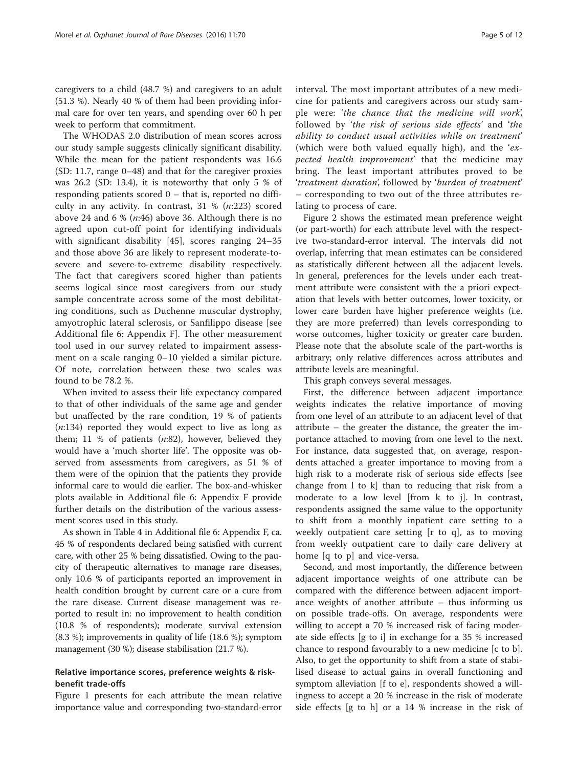caregivers to a child (48.7 %) and caregivers to an adult (51.3 %). Nearly 40 % of them had been providing informal care for over ten years, and spending over 60 h per week to perform that commitment.

The WHODAS 2.0 distribution of mean scores across our study sample suggests clinically significant disability. While the mean for the patient respondents was 16.6 (SD: 11.7, range 0–48) and that for the caregiver proxies was 26.2 (SD: 13.4), it is noteworthy that only 5 % of responding patients scored 0 – that is, reported no difficulty in any activity. In contrast, 31 % (n:223) scored above 24 and 6 %  $(n:46)$  above 36. Although there is no agreed upon cut-off point for identifying individuals with significant disability [[45](#page-10-0)], scores ranging 24–35 and those above 36 are likely to represent moderate-tosevere and severe-to-extreme disability respectively. The fact that caregivers scored higher than patients seems logical since most caregivers from our study sample concentrate across some of the most debilitating conditions, such as Duchenne muscular dystrophy, amyotrophic lateral sclerosis, or Sanfilippo disease [see Additional file [6](#page-9-0): Appendix F]. The other measurement tool used in our survey related to impairment assessment on a scale ranging 0–10 yielded a similar picture. Of note, correlation between these two scales was found to be 78.2 %.

When invited to assess their life expectancy compared to that of other individuals of the same age and gender but unaffected by the rare condition, 19 % of patients  $(n:134)$  reported they would expect to live as long as them; 11 % of patients  $(n:82)$ , however, believed they would have a 'much shorter life'. The opposite was observed from assessments from caregivers, as 51 % of them were of the opinion that the patients they provide informal care to would die earlier. The box-and-whisker plots available in Additional file [6](#page-9-0): Appendix F provide further details on the distribution of the various assessment scores used in this study.

As shown in Table 4 in Additional file [6](#page-9-0): Appendix F, ca. 45 % of respondents declared being satisfied with current care, with other 25 % being dissatisfied. Owing to the paucity of therapeutic alternatives to manage rare diseases, only 10.6 % of participants reported an improvement in health condition brought by current care or a cure from the rare disease. Current disease management was reported to result in: no improvement to health condition (10.8 % of respondents); moderate survival extension (8.3 %); improvements in quality of life (18.6 %); symptom management (30 %); disease stabilisation (21.7 %).

## Relative importance scores, preference weights & riskbenefit trade-offs

Figure [1](#page-5-0) presents for each attribute the mean relative importance value and corresponding two-standard-error interval. The most important attributes of a new medicine for patients and caregivers across our study sample were: 'the chance that the medicine will work', followed by 'the risk of serious side effects' and 'the ability to conduct usual activities while on treatment' (which were both valued equally high), and the 'expected health improvement' that the medicine may bring. The least important attributes proved to be 'treatment duration', followed by 'burden of treatment' – corresponding to two out of the three attributes relating to process of care.

Figure [2](#page-6-0) shows the estimated mean preference weight (or part-worth) for each attribute level with the respective two-standard-error interval. The intervals did not overlap, inferring that mean estimates can be considered as statistically different between all the adjacent levels. In general, preferences for the levels under each treatment attribute were consistent with the a priori expectation that levels with better outcomes, lower toxicity, or lower care burden have higher preference weights (i.e. they are more preferred) than levels corresponding to worse outcomes, higher toxicity or greater care burden. Please note that the absolute scale of the part-worths is arbitrary; only relative differences across attributes and attribute levels are meaningful.

This graph conveys several messages.

First, the difference between adjacent importance weights indicates the relative importance of moving from one level of an attribute to an adjacent level of that attribute – the greater the distance, the greater the importance attached to moving from one level to the next. For instance, data suggested that, on average, respondents attached a greater importance to moving from a high risk to a moderate risk of serious side effects [see change from l to k] than to reducing that risk from a moderate to a low level [from k to j]. In contrast, respondents assigned the same value to the opportunity to shift from a monthly inpatient care setting to a weekly outpatient care setting [r to q], as to moving from weekly outpatient care to daily care delivery at home [q to p] and vice-versa.

Second, and most importantly, the difference between adjacent importance weights of one attribute can be compared with the difference between adjacent importance weights of another attribute – thus informing us on possible trade-offs. On average, respondents were willing to accept a 70 % increased risk of facing moderate side effects [g to i] in exchange for a 35 % increased chance to respond favourably to a new medicine [c to b]. Also, to get the opportunity to shift from a state of stabilised disease to actual gains in overall functioning and symptom alleviation [f to e], respondents showed a willingness to accept a 20 % increase in the risk of moderate side effects [g to h] or a 14 % increase in the risk of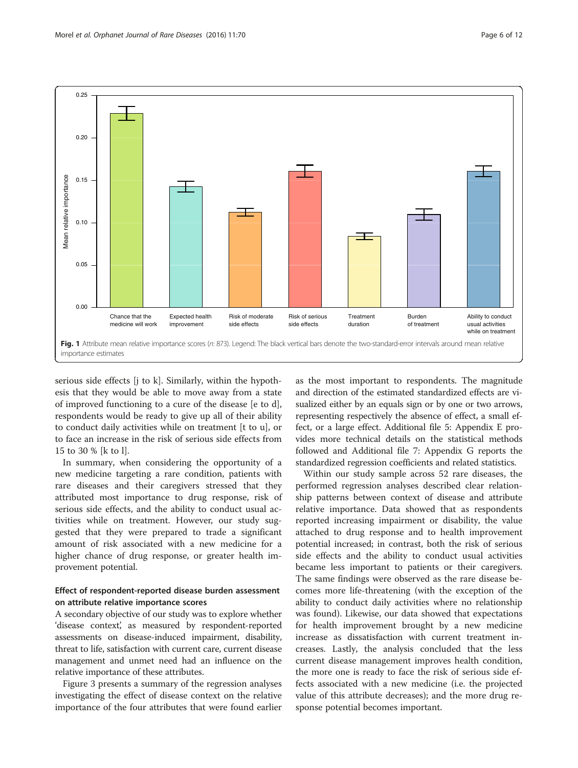<span id="page-5-0"></span>

serious side effects [j to k]. Similarly, within the hypothesis that they would be able to move away from a state of improved functioning to a cure of the disease [e to d], respondents would be ready to give up all of their ability to conduct daily activities while on treatment [t to u], or to face an increase in the risk of serious side effects from 15 to 30 % [k to l].

In summary, when considering the opportunity of a new medicine targeting a rare condition, patients with rare diseases and their caregivers stressed that they attributed most importance to drug response, risk of serious side effects, and the ability to conduct usual activities while on treatment. However, our study suggested that they were prepared to trade a significant amount of risk associated with a new medicine for a higher chance of drug response, or greater health improvement potential.

# Effect of respondent-reported disease burden assessment on attribute relative importance scores

A secondary objective of our study was to explore whether 'disease context', as measured by respondent-reported assessments on disease-induced impairment, disability, threat to life, satisfaction with current care, current disease management and unmet need had an influence on the relative importance of these attributes.

Figure [3](#page-6-0) presents a summary of the regression analyses investigating the effect of disease context on the relative importance of the four attributes that were found earlier

as the most important to respondents. The magnitude and direction of the estimated standardized effects are visualized either by an equals sign or by one or two arrows, representing respectively the absence of effect, a small effect, or a large effect. Additional file [5](#page-9-0): Appendix E provides more technical details on the statistical methods followed and Additional file [7:](#page-9-0) Appendix G reports the standardized regression coefficients and related statistics.

Within our study sample across 52 rare diseases, the performed regression analyses described clear relationship patterns between context of disease and attribute relative importance. Data showed that as respondents reported increasing impairment or disability, the value attached to drug response and to health improvement potential increased; in contrast, both the risk of serious side effects and the ability to conduct usual activities became less important to patients or their caregivers. The same findings were observed as the rare disease becomes more life-threatening (with the exception of the ability to conduct daily activities where no relationship was found). Likewise, our data showed that expectations for health improvement brought by a new medicine increase as dissatisfaction with current treatment increases. Lastly, the analysis concluded that the less current disease management improves health condition, the more one is ready to face the risk of serious side effects associated with a new medicine (i.e. the projected value of this attribute decreases); and the more drug response potential becomes important.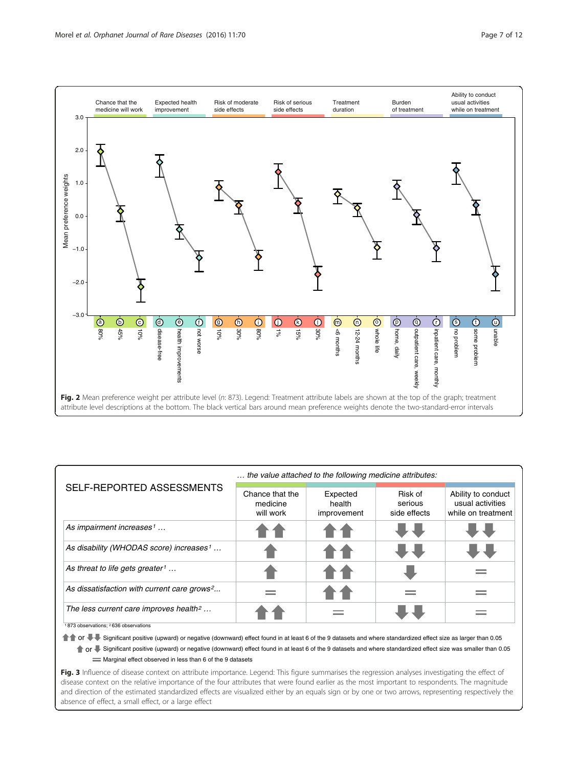

<span id="page-6-0"></span>

| SELF-REPORTED ASSESSMENTS                                    | the value attached to the following medicine attributes: |                                   |                                    |                                                              |
|--------------------------------------------------------------|----------------------------------------------------------|-----------------------------------|------------------------------------|--------------------------------------------------------------|
|                                                              | Chance that the<br>medicine<br>will work                 | Expected<br>health<br>improvement | Risk of<br>serious<br>side effects | Ability to conduct<br>usual activities<br>while on treatment |
| As impairment increases <sup>1</sup>                         |                                                          | r T                               |                                    |                                                              |
| As disability (WHODAS score) increases <sup>1</sup>          |                                                          | <b>f</b> f                        |                                    |                                                              |
| As threat to life gets greater <sup>1</sup>                  |                                                          | <b>fi</b> f                       |                                    |                                                              |
| As dissatisfaction with current care grows <sup>2</sup>      |                                                          | 11                                |                                    |                                                              |
| The less current care improves health <sup>2</sup>           |                                                          |                                   |                                    |                                                              |
| <sup>1</sup> 873 observations; <sup>2</sup> 636 observations |                                                          |                                   |                                    |                                                              |

Significant positive (upward) or negative (downward) effect found in at least 6 of the 9 datasets and where standardized effect size as larger than 0.05 or Significant positive (upward) or negative (downward) effect found in at least 6 of the 9 datasets and where standardized effect size was smaller than 0.05 or Marginal effect observed in less than 6 of the 9 datasets

Fig. 3 Influence of disease context on attribute importance. Legend: This figure summarises the regression analyses investigating the effect of disease context on the relative importance of the four attributes that were found earlier as the most important to respondents. The magnitude and direction of the estimated standardized effects are visualized either by an equals sign or by one or two arrows, representing respectively the absence of effect, a small effect, or a large effect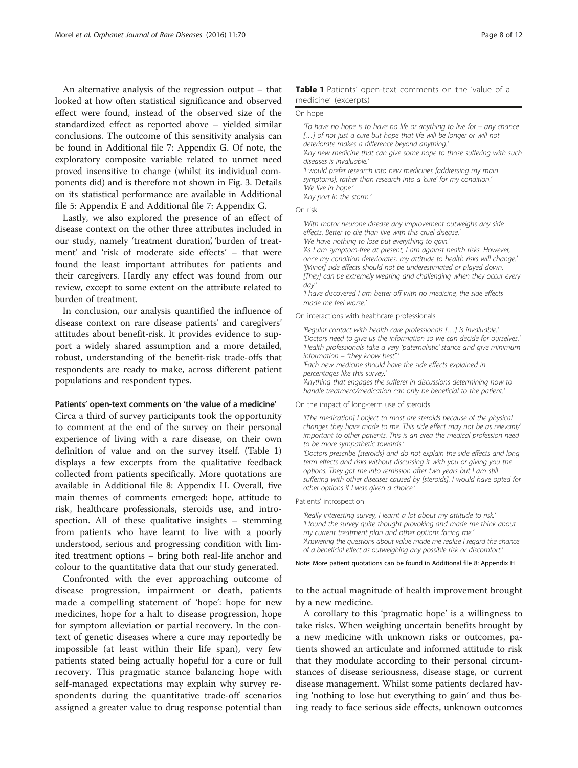An alternative analysis of the regression output – that looked at how often statistical significance and observed effect were found, instead of the observed size of the standardized effect as reported above – yielded similar conclusions. The outcome of this sensitivity analysis can be found in Additional file [7:](#page-9-0) Appendix G. Of note, the exploratory composite variable related to unmet need proved insensitive to change (whilst its individual components did) and is therefore not shown in Fig. [3](#page-6-0). Details on its statistical performance are available in Additional file [5:](#page-9-0) Appendix E and Additional file [7:](#page-9-0) Appendix G.

Lastly, we also explored the presence of an effect of disease context on the other three attributes included in our study, namely 'treatment duration', 'burden of treatment' and 'risk of moderate side effects' – that were found the least important attributes for patients and their caregivers. Hardly any effect was found from our review, except to some extent on the attribute related to burden of treatment.

In conclusion, our analysis quantified the influence of disease context on rare disease patients' and caregivers' attitudes about benefit-risk. It provides evidence to support a widely shared assumption and a more detailed, robust, understanding of the benefit-risk trade-offs that respondents are ready to make, across different patient populations and respondent types.

#### Patients' open-text comments on 'the value of a medicine'

Circa a third of survey participants took the opportunity to comment at the end of the survey on their personal experience of living with a rare disease, on their own definition of value and on the survey itself. (Table 1) displays a few excerpts from the qualitative feedback collected from patients specifically. More quotations are available in Additional file [8](#page-9-0): Appendix H. Overall, five main themes of comments emerged: hope, attitude to risk, healthcare professionals, steroids use, and introspection. All of these qualitative insights – stemming from patients who have learnt to live with a poorly understood, serious and progressing condition with limited treatment options – bring both real-life anchor and colour to the quantitative data that our study generated.

Confronted with the ever approaching outcome of disease progression, impairment or death, patients made a compelling statement of 'hope': hope for new medicines, hope for a halt to disease progression, hope for symptom alleviation or partial recovery. In the context of genetic diseases where a cure may reportedly be impossible (at least within their life span), very few patients stated being actually hopeful for a cure or full recovery. This pragmatic stance balancing hope with self-managed expectations may explain why survey respondents during the quantitative trade-off scenarios assigned a greater value to drug response potential than

#### Table 1 Patients' open-text comments on the 'value of a medicine' (excerpts)

#### On hope

'To have no hope is to have no life or anything to live for – any chance [...] of not just a cure but hope that life will be longer or will not deteriorate makes a difference beyond anything.'

'Any new medicine that can give some hope to those suffering with such diseases is invaluable.'

'I would prefer research into new medicines [addressing my main symptoms], rather than research into a 'cure' for my condition.' 'We live in hope.'

'Any port in the storm.'

On risk

'With motor neurone disease any improvement outweighs any side effects. Better to die than live with this cruel disease.

'We have nothing to lose but everything to gain.'

'As I am symptom-free at present, I am against health risks. However, once my condition deteriorates, my attitude to health risks will change.' '[Minor] side effects should not be underestimated or played down. [They] can be extremely wearing and challenging when they occur every day.'

'I have discovered I am better off with no medicine, the side effects made me feel worse.'

On interactions with healthcare professionals

'Regular contact with health care professionals […] is invaluable.' 'Doctors need to give us the information so we can decide for ourselves.' 'Health professionals take a very 'paternalistic' stance and give minimum information – "they know best".' 'Each new medicine should have the side effects explained in percentages like this survey. 'Anything that engages the sufferer in discussions determining how to

On the impact of long-term use of steroids

'[The medication] I object to most are steroids because of the physical changes they have made to me. This side effect may not be as relevant/ important to other patients. This is an area the medical profession need to be more sympathetic towards.'

handle treatment/medication can only be beneficial to the patient.'

'Doctors prescribe [steroids] and do not explain the side effects and long term effects and risks without discussing it with you or giving you the options. They got me into remission after two years but I am still suffering with other diseases caused by [steroids]. I would have opted for other options if I was given a choice.'

Patients' introspection

'Really interesting survey, I learnt a lot about my attitude to risk.' 'I found the survey quite thought provoking and made me think about my current treatment plan and other options facing me. 'Answering the questions about value made me realise I regard the chance of a beneficial effect as outweighing any possible risk or discomfort.'

Note: More patient quotations can be found in Additional file [8](#page-9-0): Appendix H

to the actual magnitude of health improvement brought by a new medicine.

A corollary to this 'pragmatic hope' is a willingness to take risks. When weighing uncertain benefits brought by a new medicine with unknown risks or outcomes, patients showed an articulate and informed attitude to risk that they modulate according to their personal circumstances of disease seriousness, disease stage, or current disease management. Whilst some patients declared having 'nothing to lose but everything to gain' and thus being ready to face serious side effects, unknown outcomes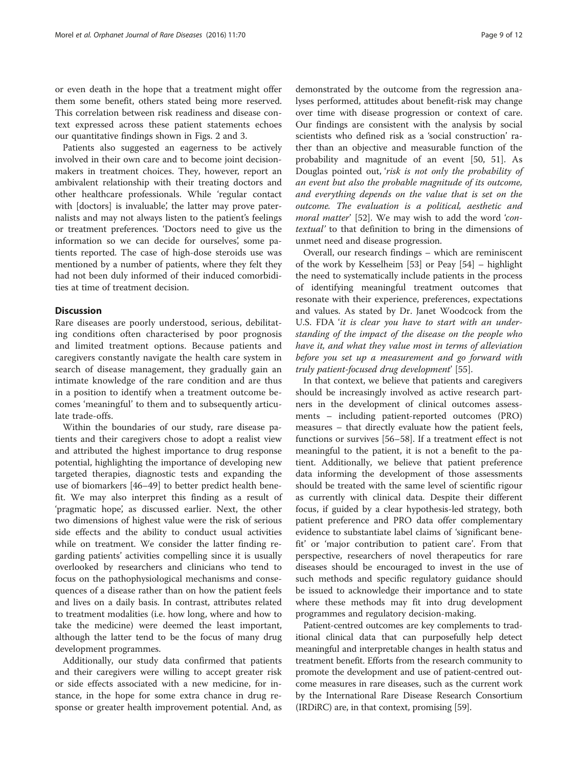or even death in the hope that a treatment might offer them some benefit, others stated being more reserved. This correlation between risk readiness and disease context expressed across these patient statements echoes our quantitative findings shown in Figs. [2](#page-6-0) and [3.](#page-6-0)

Patients also suggested an eagerness to be actively involved in their own care and to become joint decisionmakers in treatment choices. They, however, report an ambivalent relationship with their treating doctors and other healthcare professionals. While 'regular contact with [doctors] is invaluable', the latter may prove paternalists and may not always listen to the patient's feelings or treatment preferences. 'Doctors need to give us the information so we can decide for ourselves', some patients reported. The case of high-dose steroids use was mentioned by a number of patients, where they felt they had not been duly informed of their induced comorbidities at time of treatment decision.

## Discussion

Rare diseases are poorly understood, serious, debilitating conditions often characterised by poor prognosis and limited treatment options. Because patients and caregivers constantly navigate the health care system in search of disease management, they gradually gain an intimate knowledge of the rare condition and are thus in a position to identify when a treatment outcome becomes 'meaningful' to them and to subsequently articulate trade-offs.

Within the boundaries of our study, rare disease patients and their caregivers chose to adopt a realist view and attributed the highest importance to drug response potential, highlighting the importance of developing new targeted therapies, diagnostic tests and expanding the use of biomarkers [\[46](#page-10-0)–[49\]](#page-10-0) to better predict health benefit. We may also interpret this finding as a result of 'pragmatic hope', as discussed earlier. Next, the other two dimensions of highest value were the risk of serious side effects and the ability to conduct usual activities while on treatment. We consider the latter finding regarding patients' activities compelling since it is usually overlooked by researchers and clinicians who tend to focus on the pathophysiological mechanisms and consequences of a disease rather than on how the patient feels and lives on a daily basis. In contrast, attributes related to treatment modalities (i.e. how long, where and how to take the medicine) were deemed the least important, although the latter tend to be the focus of many drug development programmes.

Additionally, our study data confirmed that patients and their caregivers were willing to accept greater risk or side effects associated with a new medicine, for instance, in the hope for some extra chance in drug response or greater health improvement potential. And, as

demonstrated by the outcome from the regression analyses performed, attitudes about benefit-risk may change over time with disease progression or context of care. Our findings are consistent with the analysis by social scientists who defined risk as a 'social construction' rather than an objective and measurable function of the probability and magnitude of an event [[50, 51](#page-10-0)]. As Douglas pointed out, 'risk is not only the probability of an event but also the probable magnitude of its outcome, and everything depends on the value that is set on the outcome. The evaluation is a political, aesthetic and moral matter' [[52\]](#page-10-0). We may wish to add the word 'contextual' to that definition to bring in the dimensions of unmet need and disease progression.

Overall, our research findings – which are reminiscent of the work by Kesselheim [\[53](#page-10-0)] or Peay [\[54](#page-11-0)] – highlight the need to systematically include patients in the process of identifying meaningful treatment outcomes that resonate with their experience, preferences, expectations and values. As stated by Dr. Janet Woodcock from the U.S. FDA 'it is clear you have to start with an understanding of the impact of the disease on the people who have it, and what they value most in terms of alleviation before you set up a measurement and go forward with truly patient-focused drug development' [\[55](#page-11-0)].

In that context, we believe that patients and caregivers should be increasingly involved as active research partners in the development of clinical outcomes assessments – including patient-reported outcomes (PRO) measures – that directly evaluate how the patient feels, functions or survives [[56](#page-11-0)–[58](#page-11-0)]. If a treatment effect is not meaningful to the patient, it is not a benefit to the patient. Additionally, we believe that patient preference data informing the development of those assessments should be treated with the same level of scientific rigour as currently with clinical data. Despite their different focus, if guided by a clear hypothesis-led strategy, both patient preference and PRO data offer complementary evidence to substantiate label claims of 'significant benefit' or 'major contribution to patient care'. From that perspective, researchers of novel therapeutics for rare diseases should be encouraged to invest in the use of such methods and specific regulatory guidance should be issued to acknowledge their importance and to state where these methods may fit into drug development programmes and regulatory decision-making.

Patient-centred outcomes are key complements to traditional clinical data that can purposefully help detect meaningful and interpretable changes in health status and treatment benefit. Efforts from the research community to promote the development and use of patient-centred outcome measures in rare diseases, such as the current work by the International Rare Disease Research Consortium (IRDiRC) are, in that context, promising [\[59\]](#page-11-0).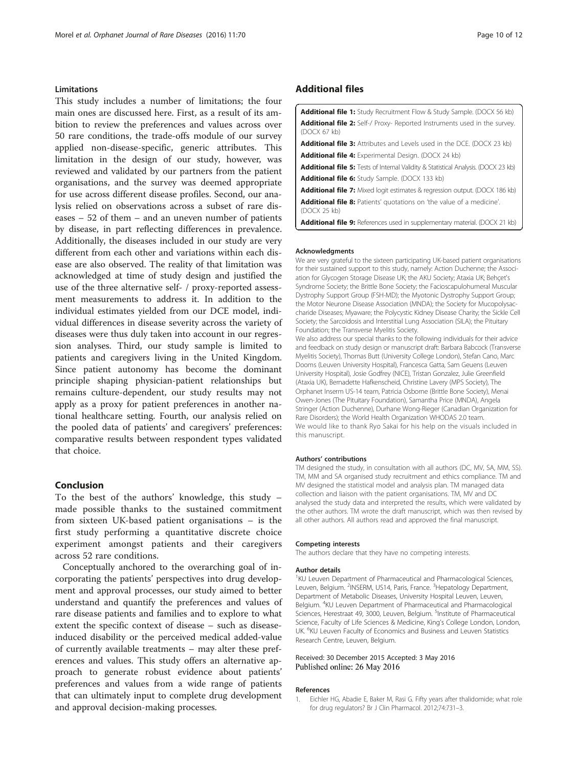## <span id="page-9-0"></span>Limitations

This study includes a number of limitations; the four main ones are discussed here. First, as a result of its ambition to review the preferences and values across over 50 rare conditions, the trade-offs module of our survey applied non-disease-specific, generic attributes. This limitation in the design of our study, however, was reviewed and validated by our partners from the patient organisations, and the survey was deemed appropriate for use across different disease profiles. Second, our analysis relied on observations across a subset of rare diseases – 52 of them – and an uneven number of patients by disease, in part reflecting differences in prevalence. Additionally, the diseases included in our study are very different from each other and variations within each disease are also observed. The reality of that limitation was acknowledged at time of study design and justified the use of the three alternative self- / proxy-reported assessment measurements to address it. In addition to the individual estimates yielded from our DCE model, individual differences in disease severity across the variety of diseases were thus duly taken into account in our regression analyses. Third, our study sample is limited to patients and caregivers living in the United Kingdom. Since patient autonomy has become the dominant principle shaping physician-patient relationships but remains culture-dependent, our study results may not apply as a proxy for patient preferences in another national healthcare setting. Fourth, our analysis relied on the pooled data of patients' and caregivers' preferences: comparative results between respondent types validated that choice.

#### Conclusion

To the best of the authors' knowledge, this study – made possible thanks to the sustained commitment from sixteen UK-based patient organisations – is the first study performing a quantitative discrete choice experiment amongst patients and their caregivers across 52 rare conditions.

Conceptually anchored to the overarching goal of incorporating the patients' perspectives into drug development and approval processes, our study aimed to better understand and quantify the preferences and values of rare disease patients and families and to explore to what extent the specific context of disease – such as diseaseinduced disability or the perceived medical added-value of currently available treatments – may alter these preferences and values. This study offers an alternative approach to generate robust evidence about patients' preferences and values from a wide range of patients that can ultimately input to complete drug development and approval decision-making processes.

# Additional files

| <b>Additional file 1:</b> Study Recruitment Flow & Study Sample. (DOCX 56 kb)                    |
|--------------------------------------------------------------------------------------------------|
| <b>Additional file 2:</b> Self-/ Proxy- Reported Instruments used in the survey.<br>(DOCX 67 kb) |
| <b>Additional file 3:</b> Attributes and Levels used in the DCE. (DOCX 23 kb)                    |
| <b>Additional file 4:</b> Experimental Design. (DOCX 24 kb)                                      |
| <b>Additional file 5:</b> Tests of Internal Validity & Statistical Analysis. (DOCX 23 kb)        |
| <b>Additional file 6:</b> Study Sample. (DOCX 133 kb)                                            |
| <b>Additional file 7:</b> Mixed logit estimates & regression output. (DOCX 186 kb)               |
| <b>Additional file 8:</b> Patients' quotations on 'the value of a medicine'.<br>(DOCX 25 kb)     |
| <b>Additional file 9:</b> References used in supplementary material. (DOCX 21 kb)                |

#### Acknowledgments

We are very grateful to the sixteen participating UK-based patient organisations for their sustained support to this study, namely: Action Duchenne; the Association for Glycogen Storage Disease UK; the AKU Society; Ataxia UK; Behçet's Syndrome Society; the Brittle Bone Society; the Facioscapulohumeral Muscular Dystrophy Support Group (FSH-MD); the Myotonic Dystrophy Support Group; the Motor Neurone Disease Association (MNDA); the Society for Mucopolysaccharide Diseases; Myaware; the Polycystic Kidney Disease Charity; the Sickle Cell Society; the Sarcoidosis and Interstitial Lung Association (SILA); the Pituitary Foundation; the Transverse Myelitis Society.

We also address our special thanks to the following individuals for their advice and feedback on study design or manuscript draft: Barbara Babcock (Transverse Myelitis Society), Thomas Butt (University College London), Stefan Cano, Marc Dooms (Leuven University Hospital), Francesca Gatta, Sam Geuens (Leuven University Hospital), Josie Godfrey (NICE), Tristan Gonzalez, Julie Greenfield (Ataxia UK), Bernadette Hafkenscheid, Christine Lavery (MPS Society), The Orphanet Inserm US-14 team, Patricia Osborne (Brittle Bone Society), Menai Owen-Jones (The Pituitary Foundation), Samantha Price (MNDA), Angela Stringer (Action Duchenne), Durhane Wong-Rieger (Canadian Organization for Rare Disorders); the World Health Organization WHODAS 2.0 team. We would like to thank Ryo Sakai for his help on the visuals included in this manuscript.

#### Authors' contributions

TM designed the study, in consultation with all authors (DC, MV, SA, MM, SS). TM, MM and SA organised study recruitment and ethics compliance. TM and MV designed the statistical model and analysis plan. TM managed data collection and liaison with the patient organisations. TM, MV and DC analysed the study data and interpreted the results, which were validated by the other authors. TM wrote the draft manuscript, which was then revised by all other authors. All authors read and approved the final manuscript.

#### Competing interests

The authors declare that they have no competing interests.

#### Author details

<sup>1</sup>KU Leuven Department of Pharmaceutical and Pharmacological Sciences, Leuven, Belgium. <sup>2</sup>INSERM, US14, Paris, France. <sup>3</sup>Hepatology Department, Department of Metabolic Diseases, University Hospital Leuven, Leuven, Belgium. <sup>4</sup>KU Leuven Department of Pharmaceutical and Pharmacological Sciences, Herestraat 49, 3000, Leuven, Belgium. <sup>5</sup>Institute of Pharmaceutical Science, Faculty of Life Sciences & Medicine, King's College London, London, UK. <sup>6</sup>KU Leuven Faculty of Economics and Business and Leuven Statistics Research Centre, Leuven, Belgium.

#### Received: 30 December 2015 Accepted: 3 May 2016 Published online: 26 May 2016

#### References

1. Eichler HG, Abadie E, Baker M, Rasi G. Fifty years after thalidomide; what role for drug regulators? Br J Clin Pharmacol. 2012;74:731–3.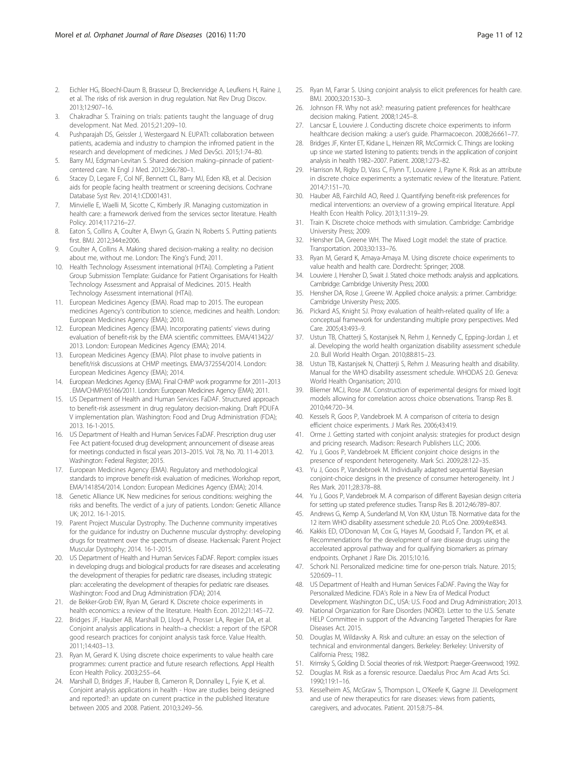- <span id="page-10-0"></span>2. Eichler HG, Bloechl-Daum B, Brasseur D, Breckenridge A, Leufkens H, Raine J, et al. The risks of risk aversion in drug regulation. Nat Rev Drug Discov. 2013;12:907–16.
- 3. Chakradhar S. Training on trials: patients taught the language of drug development. Nat Med. 2015;21:209–10.
- 4. Pushparajah DS, Geissler J, Westergaard N. EUPATI: collaboration between patients, academia and industry to champion the infromed patient in the research and development of medicines. J Med DevSci. 2015;1:74–80.
- 5. Barry MJ, Edgman-Levitan S. Shared decision making–pinnacle of patientcentered care. N Engl J Med. 2012;366:780–1.
- Stacey D, Legare F, Col NF, Bennett CL, Barry MJ, Eden KB, et al. Decision aids for people facing health treatment or screening decisions. Cochrane Database Syst Rev. 2014;1:CD001431.
- 7. Minvielle E, Waelli M, Sicotte C, Kimberly JR. Managing customization in health care: a framework derived from the services sector literature. Health Policy. 2014;117:216–27.
- 8. Eaton S, Collins A, Coulter A, Elwyn G, Grazin N, Roberts S. Putting patients first. BMJ. 2012;344:e2006.
- 9. Coulter A, Collins A. Making shared decision-making a reality: no decision about me, without me. London: The King's Fund; 2011.
- 10. Health Technology Assessment international (HTAi). Completing a Patient Group Submission Template: Guidance for Patient Organisations for Health Technology Assessment and Appraisal of Medicines. 2015. Health Technology Assessment international (HTAi).
- 11. European Medicines Agency (EMA). Road map to 2015. The european medicines Agency's contribution to science, medicines and health. London: European Medicines Agency (EMA); 2010.
- 12. European Medicines Agency (EMA). Incorporating patients' views during evaluation of benefit-risk by the EMA scientific committees. EMA/413422/ 2013. London: European Medicines Agency (EMA); 2014.
- 13. European Medicines Agency (EMA). Pilot phase to involve patients in benefit/risk discussions at CHMP meetings. EMA/372554/2014. London: European Medicines Agency (EMA); 2014.
- 14. European Medicines Agency (EMA). Final CHMP work programme for 2011–2013 . EMA/CHMP/65166/2011. London: European Medicines Agency (EMA); 2011.
- 15. US Department of Health and Human Services FaDAF. Structured approach to benefit-risk assessment in drug regulatory decision-making. Draft PDUFA V implementation plan. Washington: Food and Drug Administration (FDA); 2013. 16-1-2015.
- 16. US Department of Health and Human Services FaDAF. Prescription drug user Fee Act patient-focused drug development; announcement of disease areas for meetings conducted in fiscal years 2013–2015. Vol. 78, No. 70. 11-4-2013. Washington: Federal Register; 2015.
- 17. European Medicines Agency (EMA). Regulatory and methodological standards to improve benefit-risk evaluation of medicines. Workshop report, EMA/141854/2014. London: European Medicines Agency (EMA); 2014.
- 18. Genetic Alliance UK. New medicines for serious conditions: weighing the risks and benefits. The verdict of a jury of patients. London: Genetic Alliance UK; 2012. 16-1-2015.
- 19. Parent Project Muscular Dystrophy. The Duchenne community imperatives for the guidance for industry on Duchenne muscular dystrophy: developing drugs for treatment over the spectrum of disease. Hackensak: Parent Project Muscular Dystrophy; 2014. 16-1-2015.
- 20. US Department of Health and Human Services FaDAF. Report: complex issues in developing drugs and biological products for rare diseases and accelerating the development of therapies for pediatric rare diseases, including strategic plan: accelerating the development of therapies for pediatric rare diseases. Washington: Food and Drug Administration (FDA); 2014.
- 21. de Bekker-Grob EW, Ryan M, Gerard K. Discrete choice experiments in health economics: a review of the literature. Health Econ. 2012;21:145–72.
- 22. Bridges JF, Hauber AB, Marshall D, Lloyd A, Prosser LA, Regier DA, et al. Conjoint analysis applications in health–a checklist: a report of the ISPOR good research practices for conjoint analysis task force. Value Health. 2011;14:403–13.
- 23. Ryan M, Gerard K. Using discrete choice experiments to value health care programmes: current practice and future research reflections. Appl Health Econ Health Policy. 2003;2:55–64.
- 24. Marshall D, Bridges JF, Hauber B, Cameron R, Donnalley L, Fyie K, et al. Conjoint analysis applications in health - How are studies being designed and reported?: an update on current practice in the published literature between 2005 and 2008. Patient. 2010;3:249–56.
- 25. Ryan M, Farrar S. Using conjoint analysis to elicit preferences for health care. BMJ. 2000;320:1530–3.
- 26. Johnson FR. Why not ask?: measuring patient preferences for healthcare decision making. Patient. 2008;1:245–8.
- 27. Lancsar E, Louviere J. Conducting discrete choice experiments to inform healthcare decision making: a user's guide. Pharmacoecon. 2008;26:661–77.
- 28. Bridges JF, Kinter ET, Kidane L, Heinzen RR, McCormick C. Things are looking up since we started listening to patients: trends in the application of conjoint analysis in health 1982–2007. Patient. 2008;1:273–82.
- 29. Harrison M, Rigby D, Vass C, Flynn T, Louviere J, Payne K. Risk as an attribute in discrete choice experiments: a systematic review of the literature. Patient. 2014;7:151–70.
- 30. Hauber AB, Fairchild AO, Reed J. Quantifying benefit-risk preferences for medical interventions: an overview of a growing empirical literature. Appl Health Econ Health Policy. 2013;11:319–29.
- 31. Train K. Discrete choice methods with simulation. Cambridge: Cambridge University Press; 2009.
- Hensher DA, Greene WH. The Mixed Logit model: the state of practice. Transportation. 2003;30:133–76.
- 33. Ryan M, Gerard K, Amaya-Amaya M. Using discrete choice experiments to value health and health care. Dordrecht: Springer; 2008.
- 34. Louviere J, Hensher D, Swait J. Stated choice methods: analysis and applications. Cambridge: Cambridge University Press; 2000.
- 35. Hensher DA, Rose J, Greene W. Applied choice analysis: a primer. Cambridge: Cambridge University Press; 2005.
- 36. Pickard AS, Knight SJ. Proxy evaluation of health-related quality of life: a conceptual framework for understanding multiple proxy perspectives. Med Care. 2005;43:493–9.
- 37. Ustun TB, Chatterji S, Kostanjsek N, Rehm J, Kennedy C, Epping-Jordan J, et al. Developing the world health organization disability assessment schedule 2.0. Bull World Health Organ. 2010;88:815–23.
- 38. Ustun TB, Kastanjsek N, Chatterji S, Rehm J. Measuring health and disability. Manual for the WHO disability assessment schedule. WHODAS 2.0. Geneva: World Health Organisation; 2010.
- 39. Bliemer MCJ, Rose JM. Construction of experimental designs for mixed logit models allowing for correlation across choice observations. Transp Res B. 2010;44:720–34.
- Kessels R, Goos P, Vandebroek M. A comparison of criteria to design efficient choice experiments. J Mark Res. 2006;43:419.
- 41. Orme J. Getting started with conjoint analysis: strategies for product design and pricing research. Madison: Research Publishers LLC; 2006.
- 42. Yu J, Goos P, Vandebroek M. Efficient conjoint choice designs in the presence of respondent heterogeneity. Mark Sci. 2009;28:122–35.
- 43. Yu J, Goos P, Vandebroek M. Individually adapted sequential Bayesian conjoint-choice designs in the presence of consumer heterogeneity. Int J Res Mark. 2011;28:378–88.
- 44. Yu J, Goos P, Vandebroek M. A comparison of different Bayesian design criteria for setting up stated preference studies. Transp Res B. 2012;46:789–807.
- 45. Andrews G, Kemp A, Sunderland M, Von KM, Ustun TB. Normative data for the 12 item WHO disability assessment schedule 2.0. PLoS One. 2009;4:e8343.
- 46. Kakkis ED, O'Donovan M, Cox G, Hayes M, Goodsaid F, Tandon PK, et al. Recommendations for the development of rare disease drugs using the accelerated approval pathway and for qualifying biomarkers as primary endpoints. Orphanet J Rare Dis. 2015;10:16.
- 47. Schork NJ. Personalized medicine: time for one-person trials. Nature. 2015; 520:609–11.
- 48. US Department of Health and Human Services FaDAF. Paving the Way for Personalized Medicine. FDA's Role in a New Era of Medical Product Development. Washington D.C., USA: U.S. Food and Drug Administration; 2013.
- 49. National Organization for Rare Disorders (NORD). Letter to the U.S. Senate HELP Committee in support of the Advancing Targeted Therapies for Rare Diseases Act. 2015.
- 50. Douglas M, Wildavsky A. Risk and culture: an essay on the selection of technical and environmental dangers. Berkeley: Berkeley: University of California Press; 1982.
- 51. Krimsky S, Golding D. Social theories of risk. Westport: Praeger-Greenwood; 1992.
- 52. Douglas M. Risk as a forensic resource. Daedalus Proc Am Acad Arts Sci. 1990;119:1–16.
- 53. Kesselheim AS, McGraw S, Thompson L, O'Keefe K, Gagne JJ. Development and use of new therapeutics for rare diseases: views from patients, caregivers, and advocates. Patient. 2015;8:75–84.